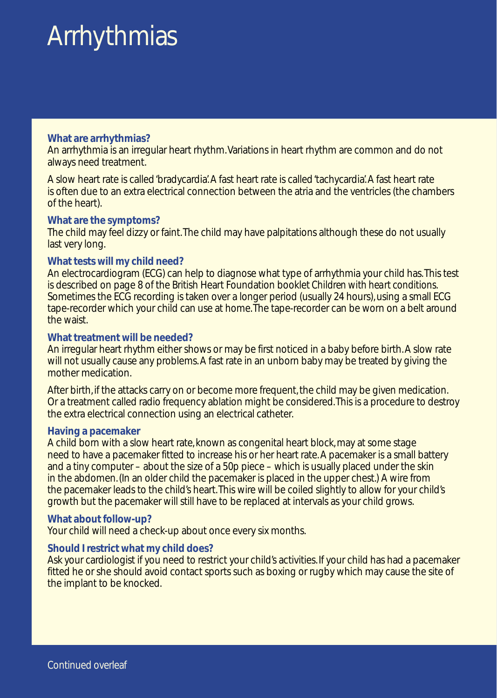# **Arrhythmias**

# **What are arrhythmias?**

An arrhythmia is an irregular heart rhythm.Variations in heart rhythm are common and do not always need treatment.

A slow heart rate is called 'bradycardia'. A fast heart rate is called 'tachycardia'. A fast heart rate is often due to an extra electrical connection between the atria and the ventricles (the chambers of the heart).

# **What are the symptoms?**

The child may feel dizzy or faint.The child may have palpitations although these do not usually last very long.

# **What tests will my child need?**

An electrocardiogram (ECG) can help to diagnose what type of arrhythmia your child has.This test is described on page 8 of the British Heart Foundation booklet Children with heart conditions. Sometimes the ECG recording is taken over a longer period (usually 24 hours), using a small ECG tape-recorder which your child can use at home.The tape-recorder can be worn on a belt around the waist.

## **What treatment will be needed?**

An irregular heart rhythm either shows or may be first noticed in a baby before birth. A slow rate will not usually cause any problems. A fast rate in an unborn baby may be treated by giving the mother medication.

After birth, if the attacks carry on or become more frequent, the child may be given medication. Or a treatment called radio frequency ablation might be considered.This is a procedure to destroy the extra electrical connection using an electrical catheter.

## **Having a pacemaker**

A child born with a slow heart rate, known as congenital heart block, may at some stage need to have a pacemaker fitted to increase his or her heart rate. A pacemaker is a small battery and a tiny computer – about the size of a 50p piece – which is usually placed under the skin in the abdomen. (In an older child the pacemaker is placed in the upper chest.) A wire from the pacemaker leads to the child's heart.This wire will be coiled slightly to allow for your child's growth but the pacemaker will still have to be replaced at intervals as your child grows.

## **What about follow-up?**

Your child will need a check-up about once every six months.

# **Should I restrict what my child does?**

Ask your cardiologist if you need to restrict your child's activities. If your child has had a pacemaker fitted he or she should avoid contact sports such as boxing or rugby which may cause the site of the implant to be knocked.